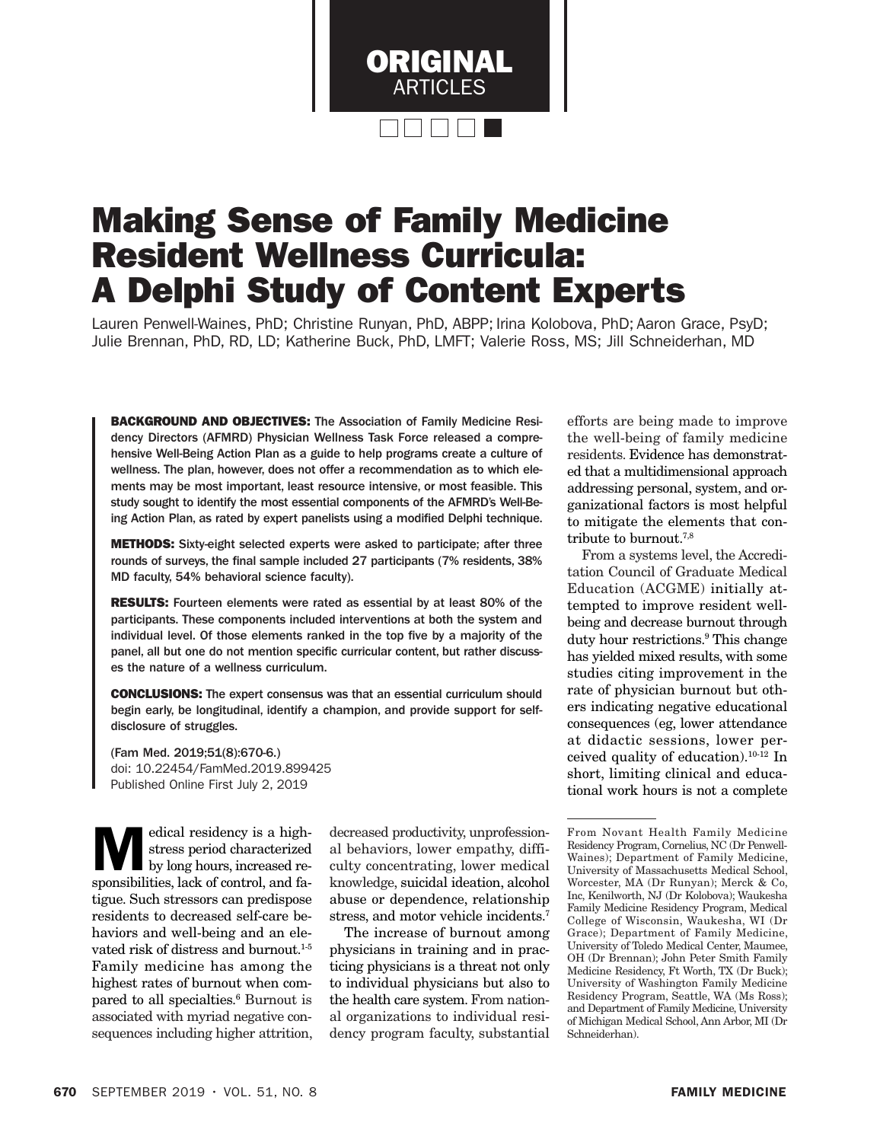# Making Sense of Family Medicine Resident Wellness Curricula: A Delphi Study of Content Experts

Lauren Penwell-Waines, PhD; Christine Runyan, PhD, ABPP; Irina Kolobova, PhD; Aaron Grace, PsyD; Julie Brennan, PhD, RD, LD; Katherine Buck, PhD, LMFT; Valerie Ross, MS; Jill Schneiderhan, MD

ORIGINAL ARTICLES

BACKGROUND AND OBJECTIVES: The Association of Family Medicine Residency Directors (AFMRD) Physician Wellness Task Force released a comprehensive Well-Being Action Plan as a guide to help programs create a culture of wellness. The plan, however, does not offer a recommendation as to which elements may be most important, least resource intensive, or most feasible. This study sought to identify the most essential components of the AFMRD's Well-Being Action Plan, as rated by expert panelists using a modified Delphi technique.

METHODS: Sixty-eight selected experts were asked to participate; after three rounds of surveys, the final sample included 27 participants (7% residents, 38% MD faculty, 54% behavioral science faculty).

RESULTS: Fourteen elements were rated as essential by at least 80% of the participants. These components included interventions at both the system and individual level. Of those elements ranked in the top five by a majority of the panel, all but one do not mention specific curricular content, but rather discusses the nature of a wellness curriculum.

CONCLUSIONS: The expert consensus was that an essential curriculum should begin early, be longitudinal, identify a champion, and provide support for selfdisclosure of struggles.

(Fam Med. 2019;51(8):670-6.) doi: 10.22454/FamMed.2019.899425 Published Online First July 2, 2019

Medical residency is a high-<br>stress period characterized<br>by long hours, increased re-<br>sponsibilities lack of control and fa stress period characterized sponsibilities, lack of control, and fatigue. Such stressors can predispose residents to decreased self-care behaviors and well-being and an elevated risk of distress and burnout.<sup>1-5</sup> Family medicine has among the highest rates of burnout when compared to all specialties.6 Burnout is associated with myriad negative consequences including higher attrition,

decreased productivity, unprofessional behaviors, lower empathy, difficulty concentrating, lower medical knowledge, suicidal ideation, alcohol abuse or dependence, relationship stress, and motor vehicle incidents.<sup>7</sup>

The increase of burnout among physicians in training and in practicing physicians is a threat not only to individual physicians but also to the health care system. From national organizations to individual residency program faculty, substantial efforts are being made to improve the well-being of family medicine residents. Evidence has demonstrated that a multidimensional approach addressing personal, system, and organizational factors is most helpful to mitigate the elements that contribute to burnout.7,8

From a systems level, the Accreditation Council of Graduate Medical Education (ACGME) initially attempted to improve resident wellbeing and decrease burnout through duty hour restrictions.9 This change has yielded mixed results, with some studies citing improvement in the rate of physician burnout but others indicating negative educational consequences (eg, lower attendance at didactic sessions, lower perceived quality of education).10-12 In short, limiting clinical and educational work hours is not a complete

From Novant Health Family Medicine Residency Program, Cornelius, NC (Dr Penwell-Waines); Department of Family Medicine, University of Massachusetts Medical School, Worcester, MA (Dr Runyan); Merck & Co, Inc, Kenilworth, NJ (Dr Kolobova); Waukesha Family Medicine Residency Program, Medical College of Wisconsin, Waukesha, WI (Dr Grace); Department of Family Medicine, University of Toledo Medical Center, Maumee, OH (Dr Brennan); John Peter Smith Family Medicine Residency, Ft Worth, TX (Dr Buck); University of Washington Family Medicine Residency Program, Seattle, WA (Ms Ross); and Department of Family Medicine, University of Michigan Medical School, Ann Arbor, MI (Dr Schneiderhan).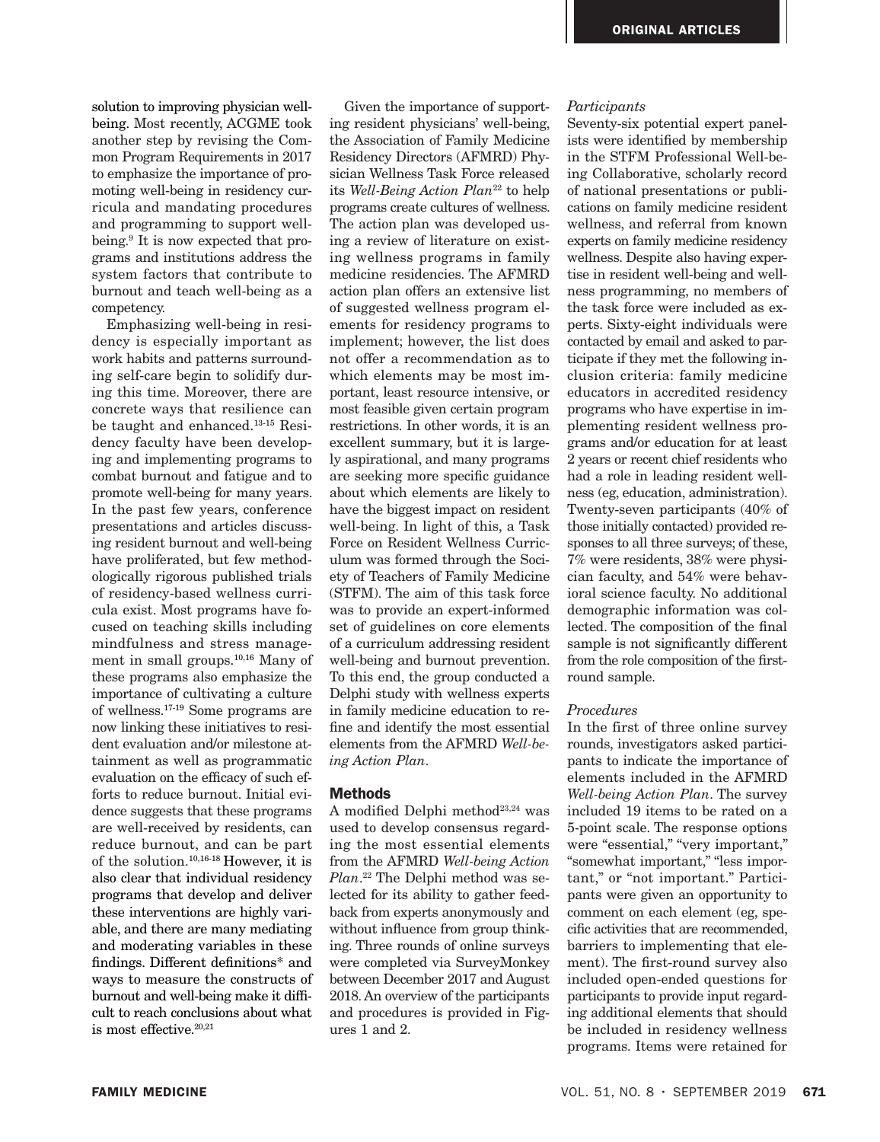solution to improving physician wellbeing. Most recently, ACGME took another step by revising the Common Program Requirements in 2017 to emphasize the importance of promoting well-being in residency curricula and mandating procedures and programming to support wellbeing.9 It is now expected that programs and institutions address the system factors that contribute to burnout and teach well-being as a competency.

Emphasizing well-being in residency is especially important as work habits and patterns surrounding self-care begin to solidify during this time. Moreover, there are concrete ways that resilience can be taught and enhanced. 13-15 Residency faculty have been developing and implementing programs to combat burnout and fatigue and to promote well-being for many years. In the past few years, conference presentations and articles discussing resident burnout and well-being have proliferated, but few methodologically rigorous published trials of residency-based wellness curricula exist. Most programs have focused on teaching skills including mindfulness and stress management in small groups. 10,16 Many of these programs also emphasize the importance of cultivating a culture of wellness.17-19 Some programs are now linking these initiatives to resident evaluation and/or milestone attainment as well as programmatic evaluation on the efficacy of such efforts to reduce burnout. Initial evidence suggests that these programs are well-received by residents, can reduce burnout, and can be part of the solution.10,16-18 However, it is also clear that individual residency programs that develop and deliver these interventions are highly variable, and there are many mediating and moderating variables in these findings. Different definitions\* and ways to measure the constructs of burnout and well-being make it difficult to reach conclusions about what is most effective.<sup>20,21</sup>

Given the importance of supporting resident physicians' well-being, the Association of Family Medicine Residency Directors (AFMRD) Physician Wellness Task Force released its *Well-Being Action Plan*22 to help programs create cultures of wellness. The action plan was developed using a review of literature on existing wellness programs in family medicine residencies. The AFMRD action plan offers an extensive list of suggested wellness program elements for residency programs to implement; however, the list does not offer a recommendation as to which elements may be most important, least resource intensive, or most feasible given certain program restrictions. In other words, it is an excellent summary, but it is largely aspirational, and many programs are seeking more specific guidance about which elements are likely to have the biggest impact on resident well-being. In light of this, a Task Force on Resident Wellness Curriculum was formed through the Society of Teachers of Family Medicine (STFM). The aim of this task force was to provide an expert-informed set of guidelines on core elements of a curriculum addressing resident well-being and burnout prevention. To this end, the group conducted a Delphi study with wellness experts in family medicine education to refine and identify the most essential elements from the AFMRD *Well-being Action Plan*.

## Methods

A modified Delphi method<sup>23,24</sup> was used to develop consensus regarding the most essential elements from the AFMRD *Well-being Action Plan*. 22 The Delphi method was selected for its ability to gather feedback from experts anonymously and without influence from group thinking. Three rounds of online surveys were completed via SurveyMonkey between December 2017 and August 2018. An overview of the participants and procedures is provided in Figures 1 and 2.

### *Participants*

Seventy-six potential expert panelists were identified by membership in the STFM Professional Well-being Collaborative, scholarly record of national presentations or publications on family medicine resident wellness, and referral from known experts on family medicine residency wellness. Despite also having expertise in resident well-being and wellness programming, no members of the task force were included as experts. Sixty-eight individuals were contacted by email and asked to participate if they met the following inclusion criteria: family medicine educators in accredited residency programs who have expertise in implementing resident wellness programs and/or education for at least 2 years or recent chief residents who had a role in leading resident wellness (eg, education, administration). Twenty-seven participants (40% of those initially contacted) provided responses to all three surveys; of these, 7% were residents, 38% were physician faculty, and 54% were behavioral science faculty. No additional demographic information was collected. The composition of the final sample is not significantly different from the role composition of the firstround sample.

### *Procedures*

In the first of three online survey rounds, investigators asked participants to indicate the importance of elements included in the AFMRD *Well-being Action Plan*. The survey included 19 items to be rated on a 5-point scale. The response options were "essential," "very important," "somewhat important," "less important," or "not important." Participants were given an opportunity to comment on each element (eg, specific activities that are recommended, barriers to implementing that element). The first-round survey also included open-ended questions for participants to provide input regarding additional elements that should be included in residency wellness programs. Items were retained for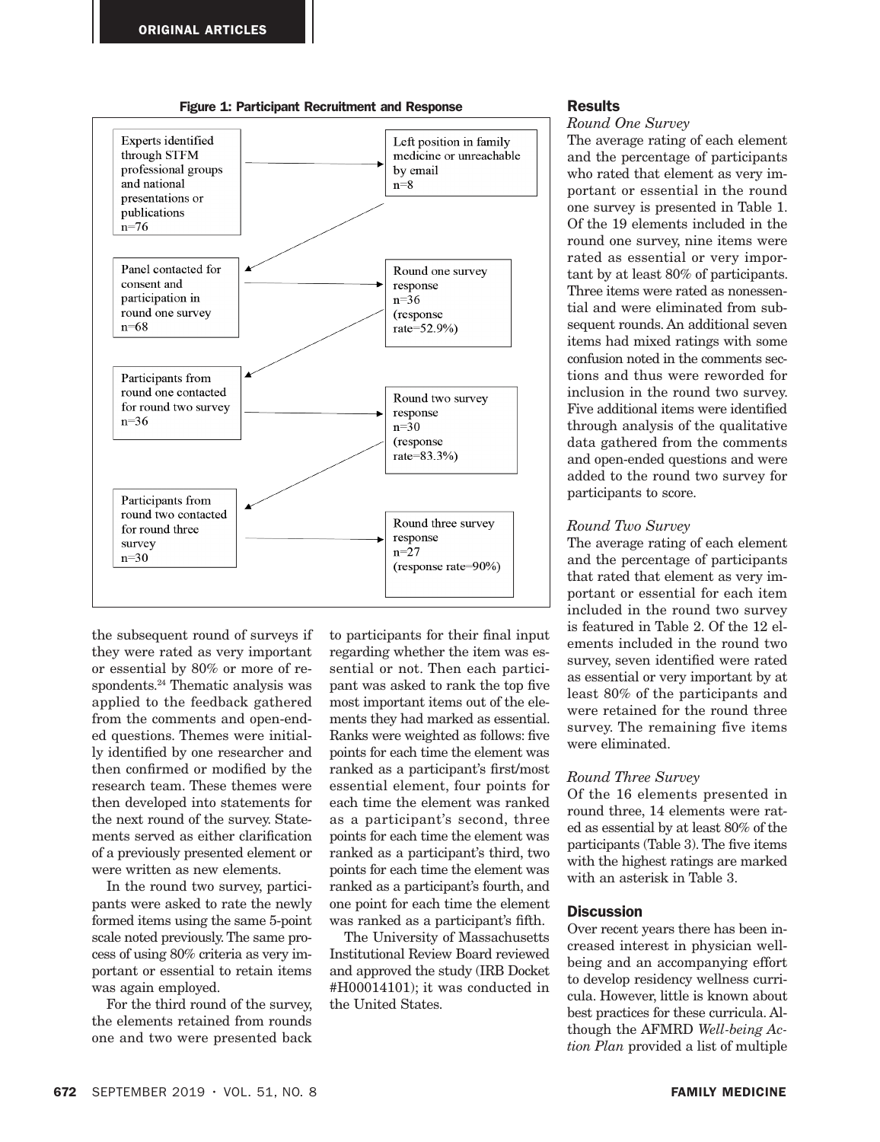



the subsequent round of surveys if they were rated as very important or essential by 80% or more of respondents.24 Thematic analysis was applied to the feedback gathered from the comments and open-ended questions. Themes were initially identified by one researcher and then confirmed or modified by the research team. These themes were then developed into statements for the next round of the survey. Statements served as either clarification of a previously presented element or were written as new elements.

In the round two survey, participants were asked to rate the newly formed items using the same 5-point scale noted previously. The same process of using 80% criteria as very important or essential to retain items was again employed.

For the third round of the survey, the elements retained from rounds one and two were presented back to participants for their final input regarding whether the item was essential or not. Then each participant was asked to rank the top five most important items out of the elements they had marked as essential. Ranks were weighted as follows: five points for each time the element was ranked as a participant's first/most essential element, four points for each time the element was ranked as a participant's second, three points for each time the element was ranked as a participant's third, two points for each time the element was ranked as a participant's fourth, and one point for each time the element was ranked as a participant's fifth.

The University of Massachusetts Institutional Review Board reviewed and approved the study (IRB Docket #H00014101); it was conducted in the United States.

#### Results

## *Round One Survey*

The average rating of each element and the percentage of participants who rated that element as very important or essential in the round one survey is presented in Table 1. Of the 19 elements included in the round one survey, nine items were rated as essential or very important by at least 80% of participants. Three items were rated as nonessential and were eliminated from subsequent rounds. An additional seven items had mixed ratings with some confusion noted in the comments sections and thus were reworded for inclusion in the round two survey. Five additional items were identified through analysis of the qualitative data gathered from the comments and open-ended questions and were added to the round two survey for participants to score.

## *Round Two Survey*

The average rating of each element and the percentage of participants that rated that element as very important or essential for each item included in the round two survey is featured in Table 2. Of the 12 elements included in the round two survey, seven identified were rated as essential or very important by at least 80% of the participants and were retained for the round three survey. The remaining five items were eliminated.

## *Round Three Survey*

Of the 16 elements presented in round three, 14 elements were rated as essential by at least 80% of the participants (Table 3). The five items with the highest ratings are marked with an asterisk in Table 3.

## **Discussion**

Over recent years there has been increased interest in physician wellbeing and an accompanying effort to develop residency wellness curricula. However, little is known about best practices for these curricula. Although the AFMRD *Well-being Action Plan* provided a list of multiple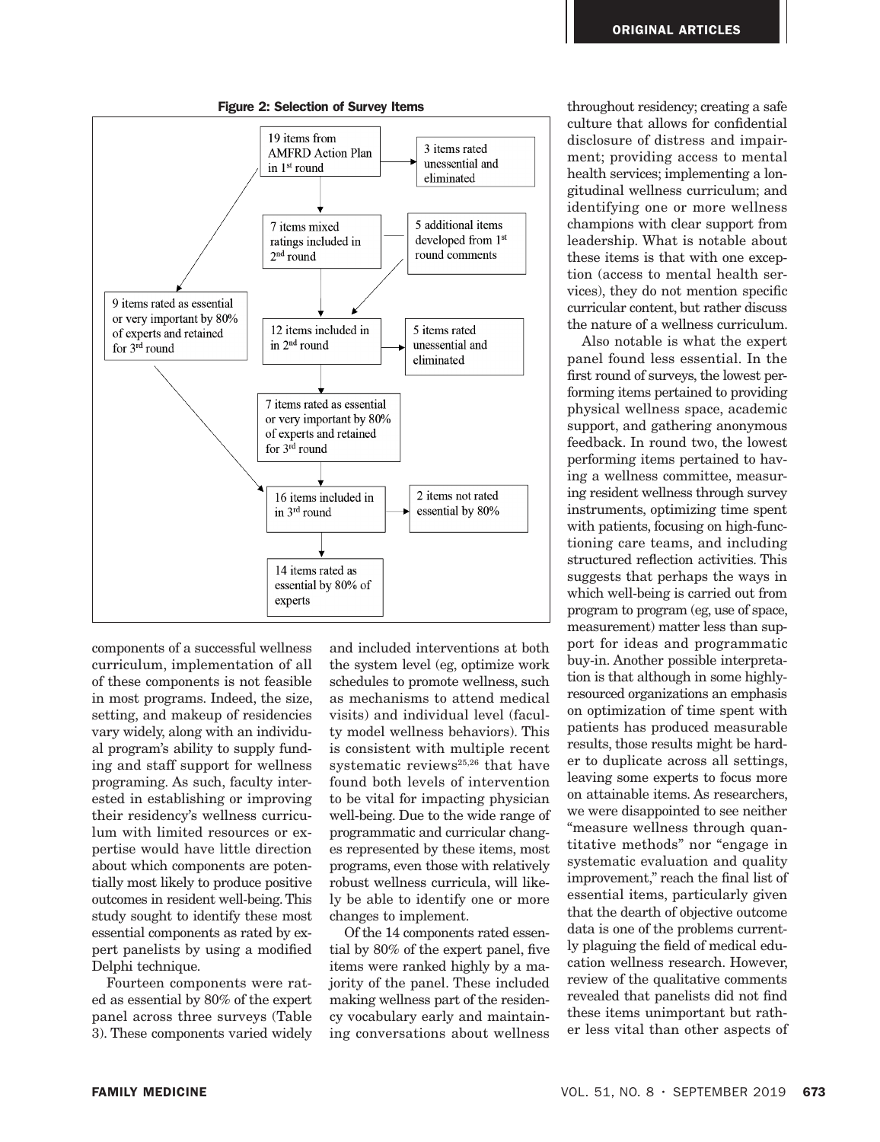

components of a successful wellness curriculum, implementation of all of these components is not feasible in most programs. Indeed, the size, setting, and makeup of residencies vary widely, along with an individual program's ability to supply funding and staff support for wellness programing. As such, faculty interested in establishing or improving their residency's wellness curriculum with limited resources or expertise would have little direction about which components are potentially most likely to produce positive outcomes in resident well-being. This study sought to identify these most essential components as rated by expert panelists by using a modified Delphi technique.

Fourteen components were rated as essential by 80% of the expert panel across three surveys (Table 3). These components varied widely

and included interventions at both the system level (eg, optimize work schedules to promote wellness, such as mechanisms to attend medical visits) and individual level (faculty model wellness behaviors). This is consistent with multiple recent systematic reviews $25,26$  that have found both levels of intervention to be vital for impacting physician well-being. Due to the wide range of programmatic and curricular changes represented by these items, most programs, even those with relatively robust wellness curricula, will likely be able to identify one or more changes to implement.

Of the 14 components rated essential by 80% of the expert panel, five items were ranked highly by a majority of the panel. These included making wellness part of the residency vocabulary early and maintaining conversations about wellness

throughout residency; creating a safe culture that allows for confidential disclosure of distress and impairment; providing access to mental health services; implementing a longitudinal wellness curriculum; and identifying one or more wellness champions with clear support from leadership. What is notable about these items is that with one exception (access to mental health services), they do not mention specific curricular content, but rather discuss the nature of a wellness curriculum.

Also notable is what the expert panel found less essential. In the first round of surveys, the lowest performing items pertained to providing physical wellness space, academic support, and gathering anonymous feedback. In round two, the lowest performing items pertained to having a wellness committee, measuring resident wellness through survey instruments, optimizing time spent with patients, focusing on high-functioning care teams, and including structured reflection activities. This suggests that perhaps the ways in which well-being is carried out from program to program (eg, use of space, measurement) matter less than support for ideas and programmatic buy-in. Another possible interpretation is that although in some highlyresourced organizations an emphasis on optimization of time spent with patients has produced measurable results, those results might be harder to duplicate across all settings, leaving some experts to focus more on attainable items. As researchers, we were disappointed to see neither "measure wellness through quantitative methods" nor "engage in systematic evaluation and quality improvement," reach the final list of essential items, particularly given that the dearth of objective outcome data is one of the problems currently plaguing the field of medical education wellness research. However, review of the qualitative comments revealed that panelists did not find these items unimportant but rather less vital than other aspects of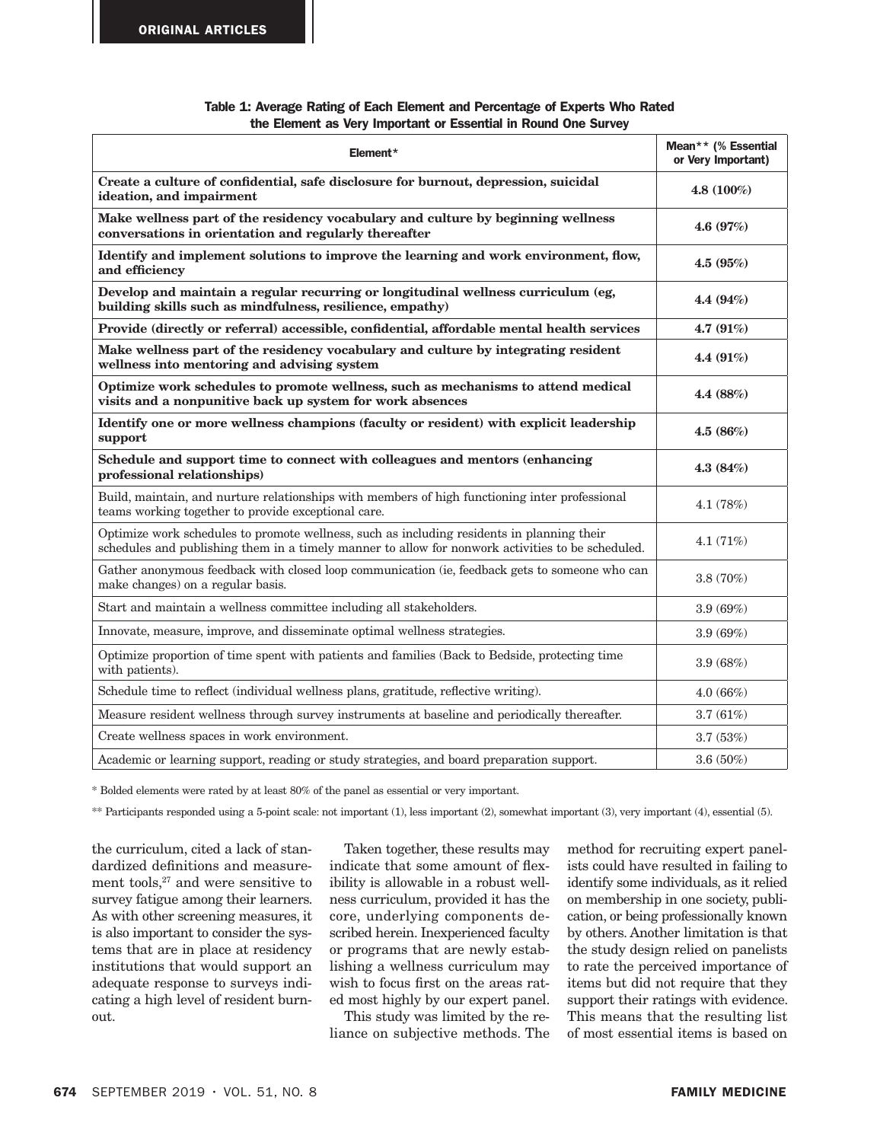| Element $*$                                                                                                                                                                                     | Mean** (% Essential<br>or Very Important) |
|-------------------------------------------------------------------------------------------------------------------------------------------------------------------------------------------------|-------------------------------------------|
| Create a culture of confidential, safe disclosure for burnout, depression, suicidal<br>ideation, and impairment                                                                                 | 4.8 (100%)                                |
| Make wellness part of the residency vocabulary and culture by beginning wellness<br>conversations in orientation and regularly thereafter                                                       | 4.6 $(97%)$                               |
| Identify and implement solutions to improve the learning and work environment, flow,<br>and efficiency                                                                                          | 4.5(95%)                                  |
| Develop and maintain a regular recurring or longitudinal wellness curriculum (eg,<br>building skills such as mindfulness, resilience, empathy)                                                  | 4.4 $(94\%)$                              |
| Provide (directly or referral) accessible, confidential, affordable mental health services                                                                                                      | 4.7 $(91%)$                               |
| Make wellness part of the residency vocabulary and culture by integrating resident<br>wellness into mentoring and advising system                                                               | 4.4 $(91\%)$                              |
| Optimize work schedules to promote wellness, such as mechanisms to attend medical<br>visits and a nonpunitive back up system for work absences                                                  | 4.4 (88%)                                 |
| Identify one or more wellness champions (faculty or resident) with explicit leadership<br>support                                                                                               | 4.5(86%)                                  |
| Schedule and support time to connect with colleagues and mentors (enhancing<br>professional relationships)                                                                                      | 4.3 $(84%)$                               |
| Build, maintain, and nurture relationships with members of high functioning inter professional<br>teams working together to provide exceptional care.                                           | 4.1(78%)                                  |
| Optimize work schedules to promote wellness, such as including residents in planning their<br>schedules and publishing them in a timely manner to allow for nonwork activities to be scheduled. | 4.1(71%)                                  |
| Gather anonymous feedback with closed loop communication (ie, feedback gets to someone who can<br>make changes) on a regular basis.                                                             | $3.8(70\%)$                               |
| Start and maintain a wellness committee including all stakeholders.                                                                                                                             | 3.9(69%)                                  |
| Innovate, measure, improve, and disseminate optimal wellness strategies.                                                                                                                        | 3.9(69%)                                  |
| Optimize proportion of time spent with patients and families (Back to Bedside, protecting time<br>with patients).                                                                               | 3.9(68%)                                  |
| Schedule time to reflect (individual wellness plans, gratitude, reflective writing).                                                                                                            | 4.0(66%)                                  |
| Measure resident wellness through survey instruments at baseline and periodically thereafter.                                                                                                   | 3.7(61%)                                  |
| Create wellness spaces in work environment.                                                                                                                                                     | 3.7(53%)                                  |
| Academic or learning support, reading or study strategies, and board preparation support.                                                                                                       | $3.6(50\%)$                               |

#### Table 1: Average Rating of Each Element and Percentage of Experts Who Rated the Element as Very Important or Essential in Round One Survey

\* Bolded elements were rated by at least 80% of the panel as essential or very important.

\*\* Participants responded using a 5-point scale: not important (1), less important (2), somewhat important (3), very important (4), essential (5).

the curriculum, cited a lack of standardized definitions and measurement tools,<sup>27</sup> and were sensitive to survey fatigue among their learners. As with other screening measures, it is also important to consider the systems that are in place at residency institutions that would support an adequate response to surveys indicating a high level of resident burnout.

Taken together, these results may indicate that some amount of flexibility is allowable in a robust wellness curriculum, provided it has the core, underlying components described herein. Inexperienced faculty or programs that are newly establishing a wellness curriculum may wish to focus first on the areas rated most highly by our expert panel.

This study was limited by the reliance on subjective methods. The method for recruiting expert panelists could have resulted in failing to identify some individuals, as it relied on membership in one society, publication, or being professionally known by others. Another limitation is that the study design relied on panelists to rate the perceived importance of items but did not require that they support their ratings with evidence. This means that the resulting list of most essential items is based on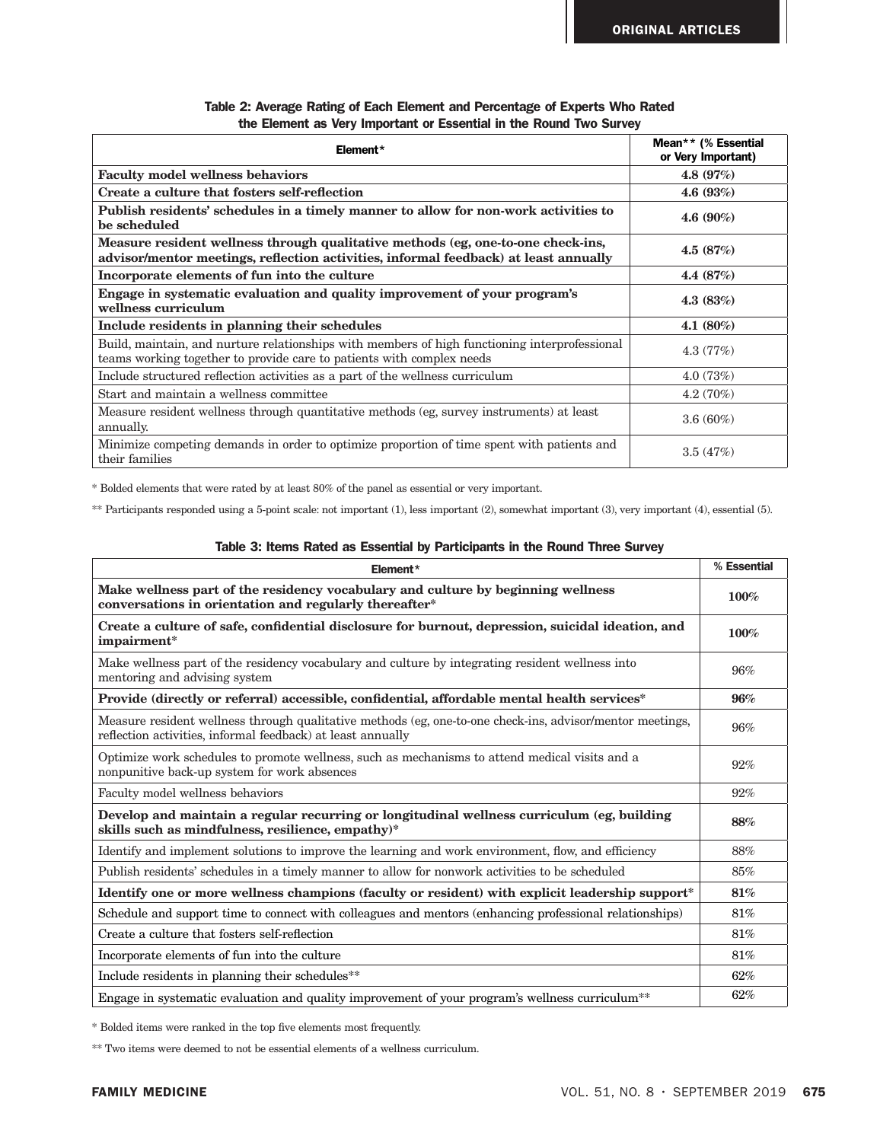| Element*                                                                                                                                                                 | Mean** (% Essential<br>or Very Important) |  |  |
|--------------------------------------------------------------------------------------------------------------------------------------------------------------------------|-------------------------------------------|--|--|
| <b>Faculty model wellness behaviors</b>                                                                                                                                  | 4.8 $(97%)$                               |  |  |
| Create a culture that fosters self-reflection                                                                                                                            | 4.6 $(93%)$                               |  |  |
| Publish residents' schedules in a timely manner to allow for non-work activities to<br>be scheduled                                                                      | 4.6 $(90\%)$                              |  |  |
| Measure resident wellness through qualitative methods (eg, one-to-one check-ins,<br>advisor/mentor meetings, reflection activities, informal feedback) at least annually | 4.5(87%)                                  |  |  |
| Incorporate elements of fun into the culture                                                                                                                             | 4.4 $(87%)$                               |  |  |
| Engage in systematic evaluation and quality improvement of your program's<br>wellness curriculum                                                                         | 4.3(83%)                                  |  |  |
| Include residents in planning their schedules                                                                                                                            | 4.1 $(80\%)$                              |  |  |
| Build, maintain, and nurture relationships with members of high functioning interprofessional<br>teams working together to provide care to patients with complex needs   | 4.3(77%)                                  |  |  |
| Include structured reflection activities as a part of the wellness curriculum                                                                                            | 4.0(73%)                                  |  |  |
| Start and maintain a wellness committee                                                                                                                                  | 4.2(70%)                                  |  |  |
| Measure resident wellness through quantitative methods (eg, survey instruments) at least<br>annually.                                                                    | $3.6(60\%)$                               |  |  |
| Minimize competing demands in order to optimize proportion of time spent with patients and<br>their families                                                             | 3.5(47%)                                  |  |  |

|  | Table 2: Average Rating of Each Element and Percentage of Experts Who Rated |  |  |  |  |  |
|--|-----------------------------------------------------------------------------|--|--|--|--|--|
|  | the Element as Very Important or Essential in the Round Two Survey          |  |  |  |  |  |

\* Bolded elements that were rated by at least 80% of the panel as essential or very important.

\*\* Participants responded using a 5-point scale: not important (1), less important (2), somewhat important (3), very important (4), essential (5).

#### Table 3: Items Rated as Essential by Participants in the Round Three Survey

| Element*                                                                                                                                                                 |      |  |  |  |
|--------------------------------------------------------------------------------------------------------------------------------------------------------------------------|------|--|--|--|
| Make wellness part of the residency vocabulary and culture by beginning wellness<br>conversations in orientation and regularly thereafter*                               | 100% |  |  |  |
| Create a culture of safe, confidential disclosure for burnout, depression, suicidal ideation, and<br>impairment*                                                         | 100% |  |  |  |
| Make wellness part of the residency vocabulary and culture by integrating resident wellness into<br>mentoring and advising system                                        |      |  |  |  |
| Provide (directly or referral) accessible, confidential, affordable mental health services <sup>*</sup>                                                                  | 96%  |  |  |  |
| Measure resident wellness through qualitative methods (eg, one-to-one check-ins, advisor/mentor meetings,<br>reflection activities, informal feedback) at least annually | 96%  |  |  |  |
| Optimize work schedules to promote wellness, such as mechanisms to attend medical visits and a<br>nonpunitive back-up system for work absences                           | 92%  |  |  |  |
| Faculty model wellness behaviors                                                                                                                                         | 92%  |  |  |  |
| Develop and maintain a regular recurring or longitudinal wellness curriculum (eg, building<br>skills such as mindfulness, resilience, empathy)*                          |      |  |  |  |
| Identify and implement solutions to improve the learning and work environment, flow, and efficiency                                                                      | 88%  |  |  |  |
| Publish residents' schedules in a timely manner to allow for nonwork activities to be scheduled                                                                          | 85%  |  |  |  |
| Identify one or more wellness champions (faculty or resident) with explicit leadership support <sup>*</sup>                                                              |      |  |  |  |
| Schedule and support time to connect with colleagues and mentors (enhancing professional relationships)                                                                  | 81%  |  |  |  |
| Create a culture that fosters self-reflection                                                                                                                            | 81%  |  |  |  |
| Incorporate elements of fun into the culture                                                                                                                             | 81%  |  |  |  |
| Include residents in planning their schedules <sup>**</sup>                                                                                                              | 62%  |  |  |  |
| Engage in systematic evaluation and quality improvement of your program's wellness curriculum <sup>**</sup>                                                              |      |  |  |  |

\* Bolded items were ranked in the top five elements most frequently.

\*\* Two items were deemed to not be essential elements of a wellness curriculum.